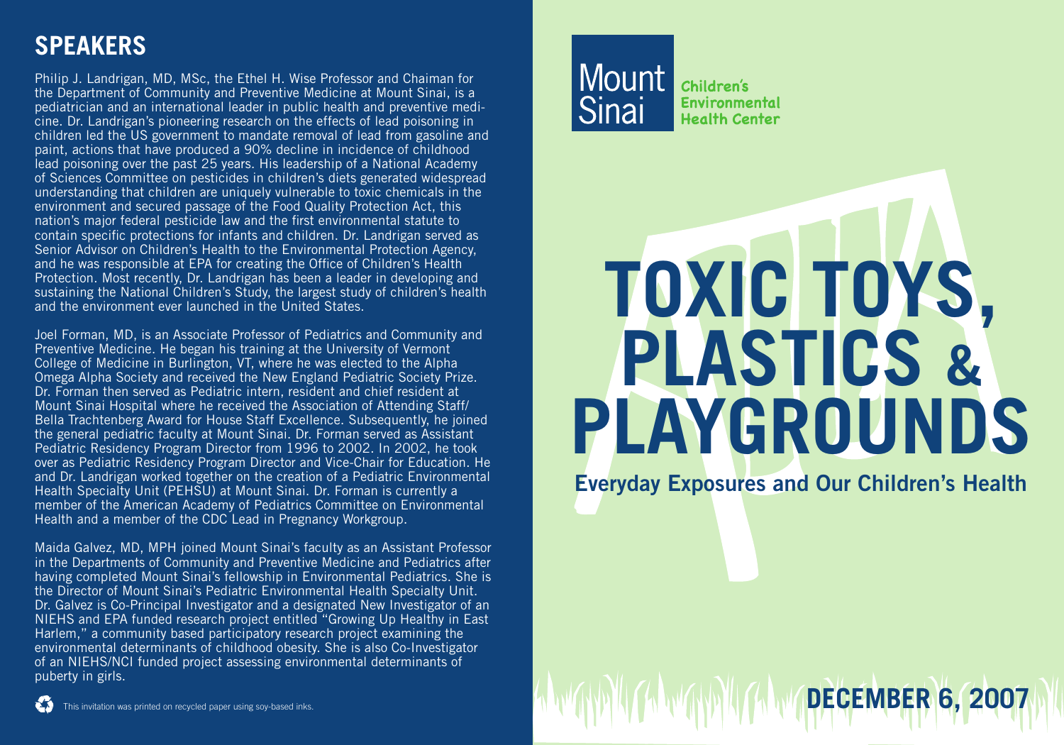## **Speakers**

Philip J. Landrigan, MD, MSc, the Ethel H. Wise Professor and Chaiman for the Department of Community and Preventive Medicine at Mount Sinai, is a pediatrician and an international leader in public health and preventive medicine. Dr. Landrigan's pioneering research on the effects of lead poisoning in children led the US government to mandate removal of lead from gasoline and paint, actions that have produced a 90% decline in incidence of childhood lead poisoning over the past 25 years. His leadership of a National Academy of Sciences Committee on pesticides in children's diets generated widespread understanding that children are uniquely vulnerable to toxic chemicals in the environment and secured passage of the Food Quality Protection Act, this nation's major federal pesticide law and the first environmental statute to contain specific protections for infants and children. Dr. Landrigan served as Senior Advisor on Children's Health to the Environmental Protection Agency, and he was responsible at EPA for creating the Office of Children's Health Protection. Most recently, Dr. Landrigan has been a leader in developing and sustaining the National Children's Study, the largest study of children's health and the environment ever launched in the United States.

Joel Forman, MD, is an Associate Professor of Pediatrics and Community and Preventive Medicine. He began his training at the University of Vermont College of Medicine in Burlington, VT, where he was elected to the Alpha Omega Alpha Society and received the New England Pediatric Society Prize. Dr. Forman then served as Pediatric intern, resident and chief resident at Mount Sinai Hospital where he received the Association of Attending Staff/ Bella Trachtenberg Award for House Staff Excellence. Subsequently, he joined the general pediatric faculty at Mount Sinai. Dr. Forman served as Assistant Pediatric Residency Program Director from 1996 to 2002. In 2002, he took over as Pediatric Residency Program Director and Vice-Chair for Education. He and Dr. Landrigan worked together on the creation of a Pediatric Environmental Health Specialty Unit (PEHSU) at Mount Sinai. Dr. Forman is currently a member of the American Academy of Pediatrics Committee on Environmental Health and a member of the CDC Lead in Pregnancy Workgroup.

Maida Galvez, MD, MPH joined Mount Sinai's faculty as an Assistant Professor in the Departments of Community and Preventive Medicine and Pediatrics after having completed Mount Sinai's fellowship in Environmental Pediatrics. She is the Director of Mount Sinai's Pediatric Environmental Health Specialty Unit. Dr. Galvez is Co-Principal Investigator and a designated New Investigator of an NIEHS and EPA funded research project entitled "Growing Up Healthy in East Harlem," a community based participatory research project examining the environmental determinants of childhood obesity. She is also Co-Investigator of an NIEHS/NCI funded project assessing environmental determinants of puberty in girls.

**Children's** Environmental **Health Center** 

## **Toxic Toys, Plastics & Playgrounds**

**Everyday Exposures and Our Children's Health**

**December 6, 2007**

This invitation was printed on recycled paper using soy-based inks.